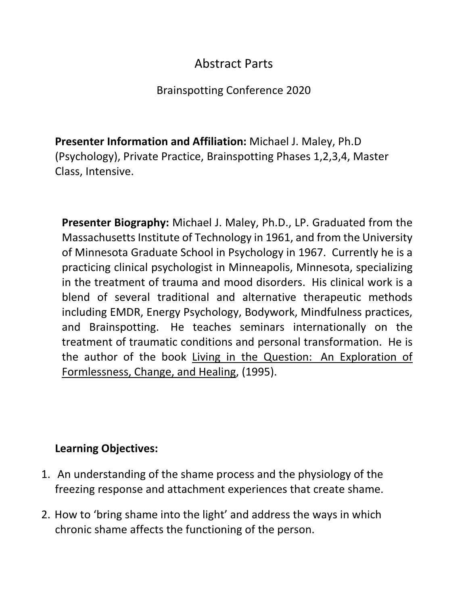## Abstract Parts

## Brainspotting Conference 2020

**Presenter Information and Affiliation:** Michael J. Maley, Ph.D (Psychology), Private Practice, Brainspotting Phases 1,2,3,4, Master Class, Intensive.

**Presenter Biography:** Michael J. Maley, Ph.D., LP. Graduated from the Massachusetts Institute of Technology in 1961, and from the University of Minnesota Graduate School in Psychology in 1967. Currently he is a practicing clinical psychologist in Minneapolis, Minnesota, specializing in the treatment of trauma and mood disorders. His clinical work is a blend of several traditional and alternative therapeutic methods including EMDR, Energy Psychology, Bodywork, Mindfulness practices, and Brainspotting. He teaches seminars internationally on the treatment of traumatic conditions and personal transformation. He is the author of the book Living in the Question: An Exploration of Formlessness, Change, and Healing, (1995).

## **Learning Objectives:**

- 1. An understanding of the shame process and the physiology of the freezing response and attachment experiences that create shame.
- 2. How to 'bring shame into the light' and address the ways in which chronic shame affects the functioning of the person.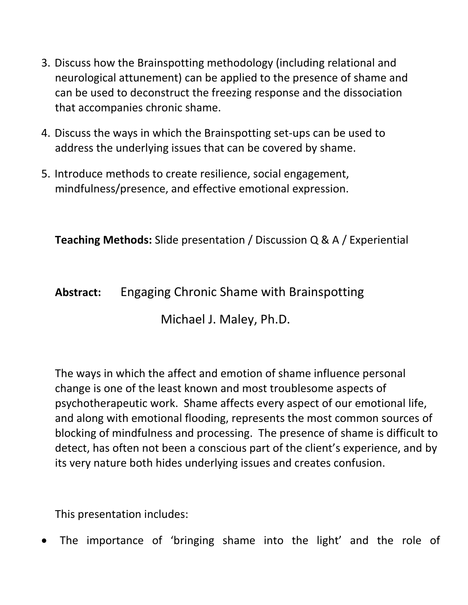- 3. Discuss how the Brainspotting methodology (including relational and neurological attunement) can be applied to the presence of shame and can be used to deconstruct the freezing response and the dissociation that accompanies chronic shame.
- 4. Discuss the ways in which the Brainspotting set-ups can be used to address the underlying issues that can be covered by shame.
- 5. Introduce methods to create resilience, social engagement, mindfulness/presence, and effective emotional expression.

**Teaching Methods:** Slide presentation / Discussion Q & A / Experiential

## **Abstract:** Engaging Chronic Shame with Brainspotting

Michael J. Maley, Ph.D.

The ways in which the affect and emotion of shame influence personal change is one of the least known and most troublesome aspects of psychotherapeutic work. Shame affects every aspect of our emotional life, and along with emotional flooding, represents the most common sources of blocking of mindfulness and processing. The presence of shame is difficult to detect, has often not been a conscious part of the client's experience, and by its very nature both hides underlying issues and creates confusion.

This presentation includes:

The importance of 'bringing shame into the light' and the role of